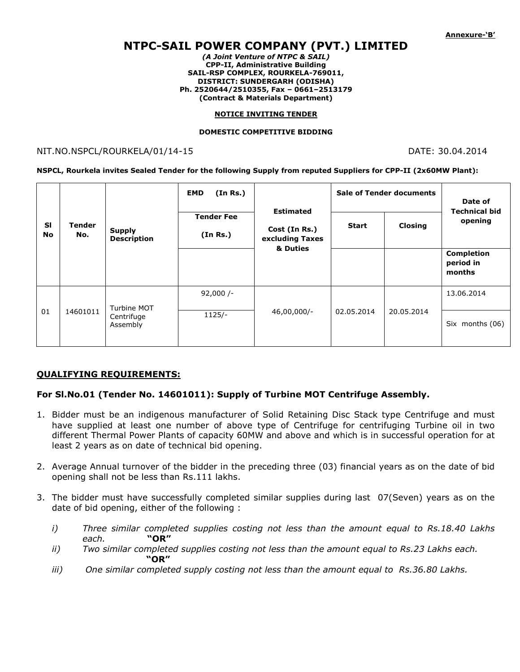# **NTPC-SAIL POWER COMPANY (PVT.) LIMITED**

*(A Joint Venture of NTPC & SAIL)* **CPP-II, Administrative Building SAIL-RSP COMPLEX, ROURKELA-769011, DISTRICT: SUNDERGARH (ODISHA) Ph. 2520644/2510355, Fax – 0661–2513179 (Contract & Materials Department)**

#### **NOTICE INVITING TENDER**

#### **DOMESTIC COMPETITIVE BIDDING**

### NIT.NO.NSPCL/ROURKELA/01/14-15 DATE: 30.04.2014

#### **NSPCL, Rourkela invites Sealed Tender for the following Supply from reputed Suppliers for CPP-II (2x60MW Plant):**

| <b>SI</b><br><b>No</b> | Tender<br>No. | <b>Supply</b><br><b>Description</b>   | (In Rs.)<br><b>EMD</b><br><b>Tender Fee</b><br>(In Rs.) | <b>Estimated</b><br>Cost (In Rs.)<br>excluding Taxes<br>& Duties | <b>Sale of Tender documents</b><br><b>Closing</b><br><b>Start</b> |            | Date of<br><b>Technical bid</b><br>opening |
|------------------------|---------------|---------------------------------------|---------------------------------------------------------|------------------------------------------------------------------|-------------------------------------------------------------------|------------|--------------------------------------------|
|                        |               |                                       |                                                         |                                                                  |                                                                   |            | <b>Completion</b><br>period in<br>months   |
| 01                     | 14601011      | Turbine MOT<br>Centrifuge<br>Assembly | $92,000/-$                                              | 46,00,000/-                                                      | 02.05.2014                                                        | 20.05.2014 | 13.06.2014                                 |
|                        |               |                                       | $1125/-$                                                |                                                                  |                                                                   |            | Six months (06)                            |

## **QUALIFYING REQUIREMENTS:**

## **For Sl.No.01 (Tender No. 14601011): Supply of Turbine MOT Centrifuge Assembly.**

- 1. Bidder must be an indigenous manufacturer of Solid Retaining Disc Stack type Centrifuge and must have supplied at least one number of above type of Centrifuge for centrifuging Turbine oil in two different Thermal Power Plants of capacity 60MW and above and which is in successful operation for at least 2 years as on date of technical bid opening.
- 2. Average Annual turnover of the bidder in the preceding three (03) financial years as on the date of bid opening shall not be less than Rs.111 lakhs.
- 3. The bidder must have successfully completed similar supplies during last 07(Seven) years as on the date of bid opening, either of the following :
	- *i) Three similar completed supplies costing not less than the amount equal to Rs.18.40 Lakhs each.* **"OR"**
	- *ii) Two similar completed supplies costing not less than the amount equal to Rs.23 Lakhs each.*   **"OR"**
	- *iii) One similar completed supply costing not less than the amount equal to Rs.36.80 Lakhs.*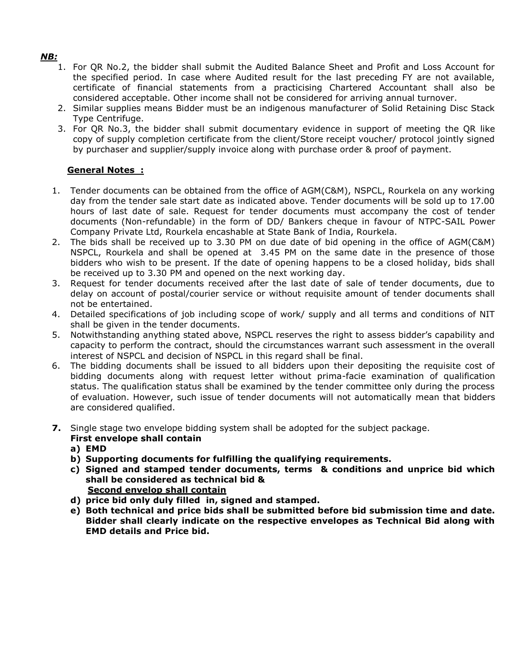## *NB:*

- 1. For QR No.2, the bidder shall submit the Audited Balance Sheet and Profit and Loss Account for the specified period. In case where Audited result for the last preceding FY are not available, certificate of financial statements from a practicising Chartered Accountant shall also be considered acceptable. Other income shall not be considered for arriving annual turnover.
- 2. Similar supplies means Bidder must be an indigenous manufacturer of Solid Retaining Disc Stack Type Centrifuge.
- 3. For QR No.3, the bidder shall submit documentary evidence in support of meeting the QR like copy of supply completion certificate from the client/Store receipt voucher/ protocol jointly signed by purchaser and supplier/supply invoice along with purchase order & proof of payment.

## **General Notes :**

- 1. Tender documents can be obtained from the office of AGM(C&M), NSPCL, Rourkela on any working day from the tender sale start date as indicated above. Tender documents will be sold up to 17.00 hours of last date of sale. Request for tender documents must accompany the cost of tender documents (Non-refundable) in the form of DD/ Bankers cheque in favour of NTPC-SAIL Power Company Private Ltd, Rourkela encashable at State Bank of India, Rourkela.
- 2. The bids shall be received up to 3.30 PM on due date of bid opening in the office of AGM(C&M) NSPCL, Rourkela and shall be opened at 3.45 PM on the same date in the presence of those bidders who wish to be present. If the date of opening happens to be a closed holiday, bids shall be received up to 3.30 PM and opened on the next working day.
- 3. Request for tender documents received after the last date of sale of tender documents, due to delay on account of postal/courier service or without requisite amount of tender documents shall not be entertained.
- 4. Detailed specifications of job including scope of work/ supply and all terms and conditions of NIT shall be given in the tender documents.
- 5. Notwithstanding anything stated above, NSPCL reserves the right to assess bidder's capability and capacity to perform the contract, should the circumstances warrant such assessment in the overall interest of NSPCL and decision of NSPCL in this regard shall be final.
- 6. The bidding documents shall be issued to all bidders upon their depositing the requisite cost of bidding documents along with request letter without prima-facie examination of qualification status. The qualification status shall be examined by the tender committee only during the process of evaluation. However, such issue of tender documents will not automatically mean that bidders are considered qualified.
- **7.** Single stage two envelope bidding system shall be adopted for the subject package. **First envelope shall contain** 
	- **a) EMD**
	- **b) Supporting documents for fulfilling the qualifying requirements.**
	- **c) Signed and stamped tender documents, terms & conditions and unprice bid which shall be considered as technical bid & Second envelop shall contain**
	- **d) price bid only duly filled in, signed and stamped.**
	- **e) Both technical and price bids shall be submitted before bid submission time and date. Bidder shall clearly indicate on the respective envelopes as Technical Bid along with EMD details and Price bid.**